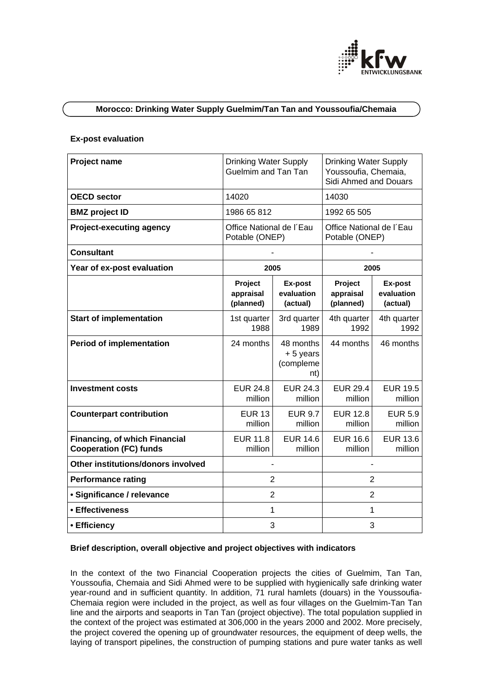

# **Morocco: Drinking Water Supply Guelmim/Tan Tan and Youssoufia/Chemaia**

#### **Ex-post evaluation**

| Project name                                                   | <b>Drinking Water Supply</b><br>Guelmim and Tan Tan |                                           | <b>Drinking Water Supply</b><br>Youssoufia, Chemaia,<br>Sidi Ahmed and Douars |                                   |
|----------------------------------------------------------------|-----------------------------------------------------|-------------------------------------------|-------------------------------------------------------------------------------|-----------------------------------|
| <b>OECD sector</b>                                             | 14020                                               |                                           | 14030                                                                         |                                   |
| <b>BMZ</b> project ID                                          | 1986 65 812                                         |                                           | 1992 65 505                                                                   |                                   |
| <b>Project-executing agency</b>                                | Office National de l'Eau<br>Potable (ONEP)          |                                           | Office National de l'Eau<br>Potable (ONEP)                                    |                                   |
| <b>Consultant</b>                                              |                                                     |                                           |                                                                               |                                   |
| Year of ex-post evaluation                                     | 2005                                                |                                           | 2005                                                                          |                                   |
|                                                                | Project<br>appraisal<br>(planned)                   | Ex-post<br>evaluation<br>(actual)         | Project<br>appraisal<br>(planned)                                             | Ex-post<br>evaluation<br>(actual) |
| <b>Start of implementation</b>                                 | 1st quarter<br>1988                                 | 3rd quarter<br>1989                       | 4th quarter<br>1992                                                           | 4th quarter<br>1992               |
| <b>Period of implementation</b>                                | 24 months                                           | 48 months<br>+5 years<br>(compleme<br>nt) | 44 months                                                                     | 46 months                         |
| <b>Investment costs</b>                                        | <b>EUR 24.8</b><br>million                          | <b>EUR 24.3</b><br>million                | <b>EUR 29.4</b><br>million                                                    | <b>EUR 19.5</b><br>million        |
| <b>Counterpart contribution</b>                                | <b>EUR 13</b><br>million                            | <b>EUR 9.7</b><br>million                 | <b>EUR 12.8</b><br>million                                                    | <b>EUR 5.9</b><br>million         |
| Financing, of which Financial<br><b>Cooperation (FC) funds</b> | <b>EUR 11.8</b><br>million                          | <b>EUR 14.6</b><br>million                | <b>EUR 16.6</b><br>million                                                    | <b>EUR 13.6</b><br>million        |
| Other institutions/donors involved                             |                                                     |                                           |                                                                               |                                   |
| <b>Performance rating</b>                                      | 2                                                   |                                           | 2                                                                             |                                   |
| · Significance / relevance                                     | $\overline{2}$                                      |                                           | $\overline{2}$                                                                |                                   |
| • Effectiveness                                                | 1                                                   |                                           | $\mathbf{1}$                                                                  |                                   |
| • Efficiency                                                   | 3                                                   |                                           | 3                                                                             |                                   |

# **Brief description, overall objective and project objectives with indicators**

In the context of the two Financial Cooperation projects the cities of Guelmim, Tan Tan, Youssoufia, Chemaia and Sidi Ahmed were to be supplied with hygienically safe drinking water year-round and in sufficient quantity. In addition, 71 rural hamlets (douars) in the Youssoufia-Chemaia region were included in the project, as well as four villages on the Guelmim-Tan Tan line and the airports and seaports in Tan Tan (project objective). The total population supplied in the context of the project was estimated at 306,000 in the years 2000 and 2002. More precisely, the project covered the opening up of groundwater resources, the equipment of deep wells, the laying of transport pipelines, the construction of pumping stations and pure water tanks as well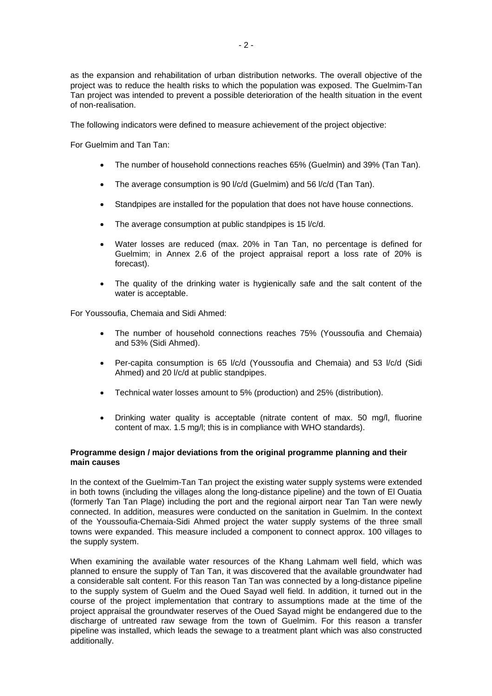as the expansion and rehabilitation of urban distribution networks. The overall objective of the project was to reduce the health risks to which the population was exposed. The Guelmim-Tan Tan project was intended to prevent a possible deterioration of the health situation in the event of non-realisation.

The following indicators were defined to measure achievement of the project objective:

For Guelmim and Tan Tan:

- The number of household connections reaches 65% (Guelmin) and 39% (Tan Tan).
- The average consumption is 90 l/c/d (Guelmim) and 56 l/c/d (Tan Tan).
- Standpipes are installed for the population that does not have house connections.
- The average consumption at public standpipes is 15 l/c/d.
- Water losses are reduced (max. 20% in Tan Tan, no percentage is defined for Guelmim; in Annex 2.6 of the project appraisal report a loss rate of 20% is forecast).
- The quality of the drinking water is hygienically safe and the salt content of the water is acceptable.

For Youssoufia, Chemaia and Sidi Ahmed:

- The number of household connections reaches 75% (Youssoufia and Chemaia) and 53% (Sidi Ahmed).
- Per-capita consumption is 65 l/c/d (Youssoufia and Chemaia) and 53 l/c/d (Sidi Ahmed) and 20 l/c/d at public standpipes.
- Technical water losses amount to 5% (production) and 25% (distribution).
- Drinking water quality is acceptable (nitrate content of max. 50 mg/l, fluorine content of max. 1.5 mg/l; this is in compliance with WHO standards).

### **Programme design / major deviations from the original programme planning and their main causes**

In the context of the Guelmim-Tan Tan project the existing water supply systems were extended in both towns (including the villages along the long-distance pipeline) and the town of El Ouatia (formerly Tan Tan Plage) including the port and the regional airport near Tan Tan were newly connected. In addition, measures were conducted on the sanitation in Guelmim. In the context of the Youssoufia-Chemaia-Sidi Ahmed project the water supply systems of the three small towns were expanded. This measure included a component to connect approx. 100 villages to the supply system.

When examining the available water resources of the Khang Lahmam well field, which was planned to ensure the supply of Tan Tan, it was discovered that the available groundwater had a considerable salt content. For this reason Tan Tan was connected by a long-distance pipeline to the supply system of Guelm and the Oued Sayad well field. In addition, it turned out in the course of the project implementation that contrary to assumptions made at the time of the project appraisal the groundwater reserves of the Oued Sayad might be endangered due to the discharge of untreated raw sewage from the town of Guelmim. For this reason a transfer pipeline was installed, which leads the sewage to a treatment plant which was also constructed additionally.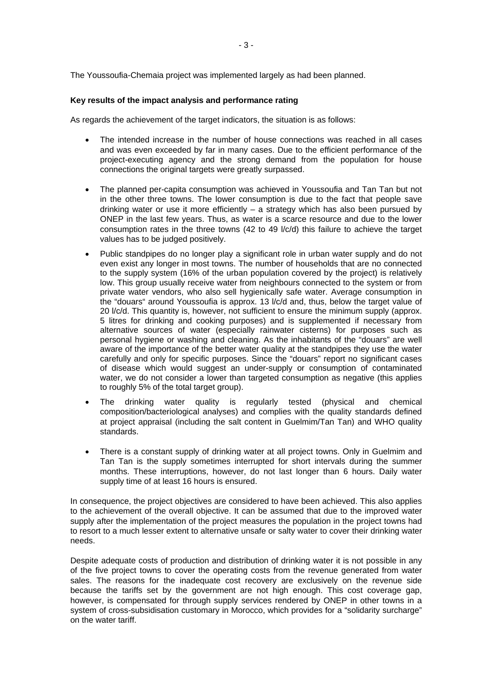The Youssoufia-Chemaia project was implemented largely as had been planned.

### **Key results of the impact analysis and performance rating**

As regards the achievement of the target indicators, the situation is as follows:

- The intended increase in the number of house connections was reached in all cases and was even exceeded by far in many cases. Due to the efficient performance of the project-executing agency and the strong demand from the population for house connections the original targets were greatly surpassed.
- The planned per-capita consumption was achieved in Youssoufia and Tan Tan but not in the other three towns. The lower consumption is due to the fact that people save drinking water or use it more efficiently – a strategy which has also been pursued by ONEP in the last few years. Thus, as water is a scarce resource and due to the lower consumption rates in the three towns (42 to 49 l/c/d) this failure to achieve the target values has to be judged positively.
- Public standpipes do no longer play a significant role in urban water supply and do not even exist any longer in most towns. The number of households that are no connected to the supply system (16% of the urban population covered by the project) is relatively low. This group usually receive water from neighbours connected to the system or from private water vendors, who also sell hygienically safe water. Average consumption in the "douars" around Youssoufia is approx. 13 l/c/d and, thus, below the target value of 20 l/c/d. This quantity is, however, not sufficient to ensure the minimum supply (approx. 5 litres for drinking and cooking purposes) and is supplemented if necessary from alternative sources of water (especially rainwater cisterns) for purposes such as personal hygiene or washing and cleaning. As the inhabitants of the "douars" are well aware of the importance of the better water quality at the standpipes they use the water carefully and only for specific purposes. Since the "douars" report no significant cases of disease which would suggest an under-supply or consumption of contaminated water, we do not consider a lower than targeted consumption as negative (this applies to roughly 5% of the total target group).
- The drinking water quality is regularly tested (physical and chemical composition/bacteriological analyses) and complies with the quality standards defined at project appraisal (including the salt content in Guelmim/Tan Tan) and WHO quality standards.
- There is a constant supply of drinking water at all project towns. Only in Guelmim and Tan Tan is the supply sometimes interrupted for short intervals during the summer months. These interruptions, however, do not last longer than 6 hours. Daily water supply time of at least 16 hours is ensured.

In consequence, the project objectives are considered to have been achieved. This also applies to the achievement of the overall objective. It can be assumed that due to the improved water supply after the implementation of the project measures the population in the project towns had to resort to a much lesser extent to alternative unsafe or salty water to cover their drinking water needs.

Despite adequate costs of production and distribution of drinking water it is not possible in any of the five project towns to cover the operating costs from the revenue generated from water sales. The reasons for the inadequate cost recovery are exclusively on the revenue side because the tariffs set by the government are not high enough. This cost coverage gap, however, is compensated for through supply services rendered by ONEP in other towns in a system of cross-subsidisation customary in Morocco, which provides for a "solidarity surcharge" on the water tariff.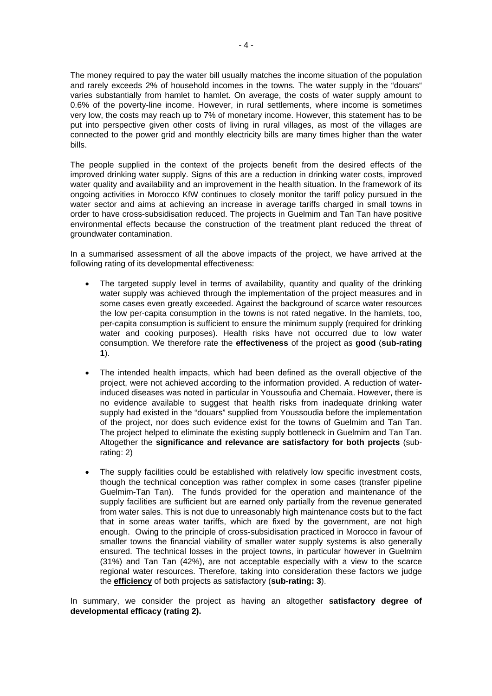The money required to pay the water bill usually matches the income situation of the population and rarely exceeds 2% of household incomes in the towns. The water supply in the "douars" varies substantially from hamlet to hamlet. On average, the costs of water supply amount to 0.6% of the poverty-line income. However, in rural settlements, where income is sometimes very low, the costs may reach up to 7% of monetary income. However, this statement has to be put into perspective given other costs of living in rural villages, as most of the villages are connected to the power grid and monthly electricity bills are many times higher than the water bills.

The people supplied in the context of the projects benefit from the desired effects of the improved drinking water supply. Signs of this are a reduction in drinking water costs, improved water quality and availability and an improvement in the health situation. In the framework of its ongoing activities in Morocco KfW continues to closely monitor the tariff policy pursued in the water sector and aims at achieving an increase in average tariffs charged in small towns in order to have cross-subsidisation reduced. The projects in Guelmim and Tan Tan have positive environmental effects because the construction of the treatment plant reduced the threat of groundwater contamination.

In a summarised assessment of all the above impacts of the project, we have arrived at the following rating of its developmental effectiveness:

- The targeted supply level in terms of availability, quantity and quality of the drinking water supply was achieved through the implementation of the project measures and in some cases even greatly exceeded. Against the background of scarce water resources the low per-capita consumption in the towns is not rated negative. In the hamlets, too, per-capita consumption is sufficient to ensure the minimum supply (required for drinking water and cooking purposes). Health risks have not occurred due to low water consumption. We therefore rate the **effectiveness** of the project as **good** (**sub-rating 1**).
- The intended health impacts, which had been defined as the overall objective of the project, were not achieved according to the information provided. A reduction of waterinduced diseases was noted in particular in Youssoufia and Chemaia. However, there is no evidence available to suggest that health risks from inadequate drinking water supply had existed in the "douars" supplied from Youssoudia before the implementation of the project, nor does such evidence exist for the towns of Guelmim and Tan Tan. The project helped to eliminate the existing supply bottleneck in Guelmim and Tan Tan. Altogether the **significance and relevance are satisfactory for both projects** (subrating: 2)
- The supply facilities could be established with relatively low specific investment costs, though the technical conception was rather complex in some cases (transfer pipeline Guelmim-Tan Tan). The funds provided for the operation and maintenance of the supply facilities are sufficient but are earned only partially from the revenue generated from water sales. This is not due to unreasonably high maintenance costs but to the fact that in some areas water tariffs, which are fixed by the government, are not high enough. Owing to the principle of cross-subsidisation practiced in Morocco in favour of smaller towns the financial viability of smaller water supply systems is also generally ensured. The technical losses in the project towns, in particular however in Guelmim (31%) and Tan Tan (42%), are not acceptable especially with a view to the scarce regional water resources. Therefore, taking into consideration these factors we judge the **efficiency** of both projects as satisfactory (**sub-rating: 3**).

In summary, we consider the project as having an altogether **satisfactory degree of developmental efficacy (rating 2).**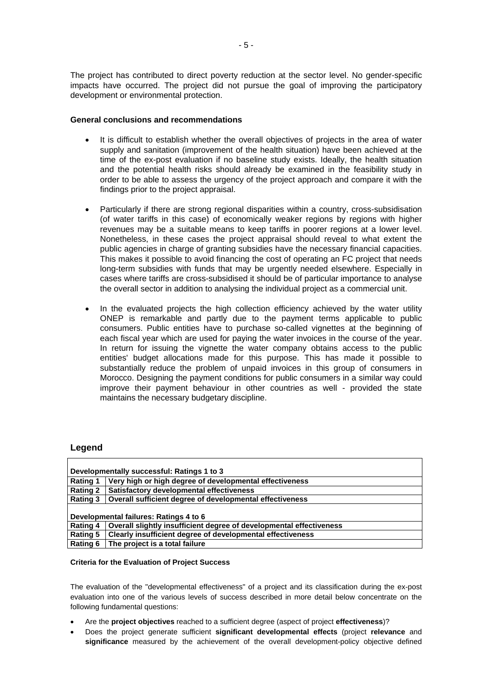The project has contributed to direct poverty reduction at the sector level. No gender-specific impacts have occurred. The project did not pursue the goal of improving the participatory development or environmental protection.

#### **General conclusions and recommendations**

- It is difficult to establish whether the overall objectives of projects in the area of water supply and sanitation (improvement of the health situation) have been achieved at the time of the ex-post evaluation if no baseline study exists. Ideally, the health situation and the potential health risks should already be examined in the feasibility study in order to be able to assess the urgency of the project approach and compare it with the findings prior to the project appraisal.
- Particularly if there are strong regional disparities within a country, cross-subsidisation (of water tariffs in this case) of economically weaker regions by regions with higher revenues may be a suitable means to keep tariffs in poorer regions at a lower level. Nonetheless, in these cases the project appraisal should reveal to what extent the public agencies in charge of granting subsidies have the necessary financial capacities. This makes it possible to avoid financing the cost of operating an FC project that needs long-term subsidies with funds that may be urgently needed elsewhere. Especially in cases where tariffs are cross-subsidised it should be of particular importance to analyse the overall sector in addition to analysing the individual project as a commercial unit.
- In the evaluated projects the high collection efficiency achieved by the water utility ONEP is remarkable and partly due to the payment terms applicable to public consumers. Public entities have to purchase so-called vignettes at the beginning of each fiscal year which are used for paying the water invoices in the course of the year. In return for issuing the vignette the water company obtains access to the public entities' budget allocations made for this purpose. This has made it possible to substantially reduce the problem of unpaid invoices in this group of consumers in Morocco. Designing the payment conditions for public consumers in a similar way could improve their payment behaviour in other countries as well - provided the state maintains the necessary budgetary discipline.

# **Legend**

| Developmentally successful: Ratings 1 to 3 |                                                                     |  |  |
|--------------------------------------------|---------------------------------------------------------------------|--|--|
| Rating 1                                   | Very high or high degree of developmental effectiveness             |  |  |
| <b>Rating 2</b>                            | Satisfactory developmental effectiveness                            |  |  |
| <b>Rating 3</b>                            | Overall sufficient degree of developmental effectiveness            |  |  |
|                                            |                                                                     |  |  |
| Developmental failures: Ratings 4 to 6     |                                                                     |  |  |
| Rating 4                                   | Overall slightly insufficient degree of developmental effectiveness |  |  |
| <b>Rating 5</b>                            | Clearly insufficient degree of developmental effectiveness          |  |  |
| <b>Rating 6</b>                            | The project is a total failure                                      |  |  |

#### **Criteria for the Evaluation of Project Success**

The evaluation of the "developmental effectiveness" of a project and its classification during the ex-post evaluation into one of the various levels of success described in more detail below concentrate on the following fundamental questions:

- Are the **project objectives** reached to a sufficient degree (aspect of project **effectiveness**)?
- Does the project generate sufficient **significant developmental effects** (project **relevance** and **significance** measured by the achievement of the overall development-policy objective defined